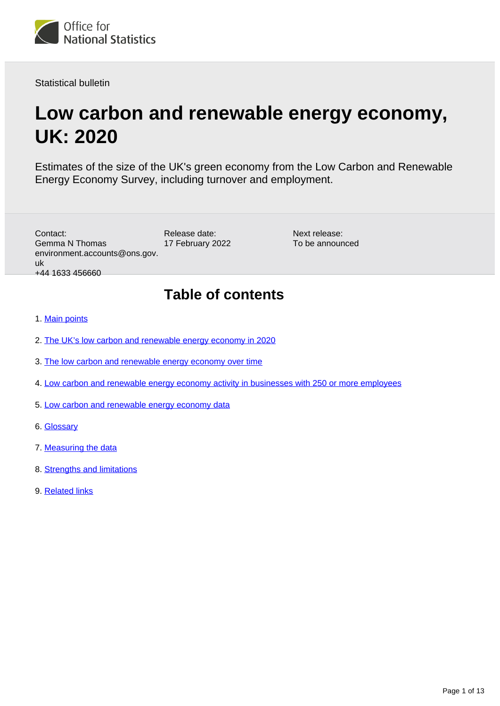

Statistical bulletin

# **Low carbon and renewable energy economy, UK: 2020**

Estimates of the size of the UK's green economy from the Low Carbon and Renewable Energy Economy Survey, including turnover and employment.

| Contact:<br><b>Gemma N Thomas</b><br>environment.accounts@ons.gov.<br>uk<br>+44 1633 456660 | Release date:<br>17 February 2022 | Next release:<br>To be announced |  |  |  |  |
|---------------------------------------------------------------------------------------------|-----------------------------------|----------------------------------|--|--|--|--|
| <b>Table of contents</b><br>4. Main political                                               |                                   |                                  |  |  |  |  |

- 1. [Main points](#page-1-0)
- 2. [The UK's low carbon and renewable energy economy in 2020](#page-2-0)
- 3. [The low carbon and renewable energy economy over time](#page-4-0)
- 4. [Low carbon and renewable energy economy activity in businesses with 250 or more employees](#page-6-0)
- 5. [Low carbon and renewable energy economy data](#page-9-0)
- 6. [Glossary](#page-9-1)
- 7. [Measuring the data](#page-10-0)
- 8. [Strengths and limitations](#page-11-0)
- 9. [Related links](#page-12-0)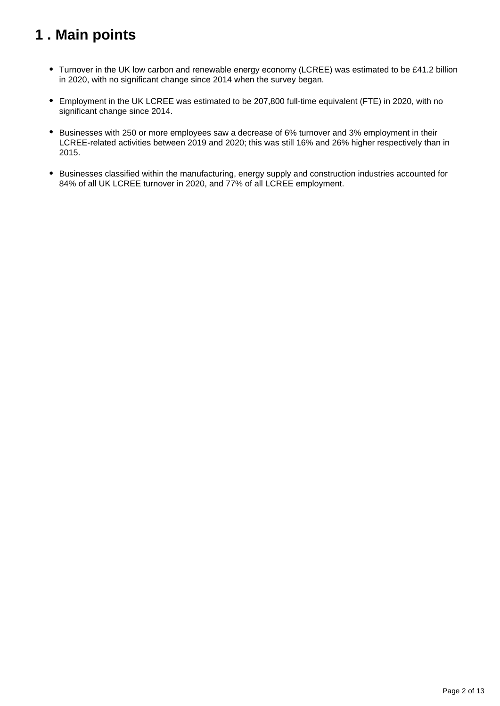## <span id="page-1-0"></span>**1 . Main points**

- Turnover in the UK low carbon and renewable energy economy (LCREE) was estimated to be £41.2 billion in 2020, with no significant change since 2014 when the survey began.
- Employment in the UK LCREE was estimated to be 207,800 full-time equivalent (FTE) in 2020, with no significant change since 2014.
- Businesses with 250 or more employees saw a decrease of 6% turnover and 3% employment in their LCREE-related activities between 2019 and 2020; this was still 16% and 26% higher respectively than in 2015.
- Businesses classified within the manufacturing, energy supply and construction industries accounted for 84% of all UK LCREE turnover in 2020, and 77% of all LCREE employment.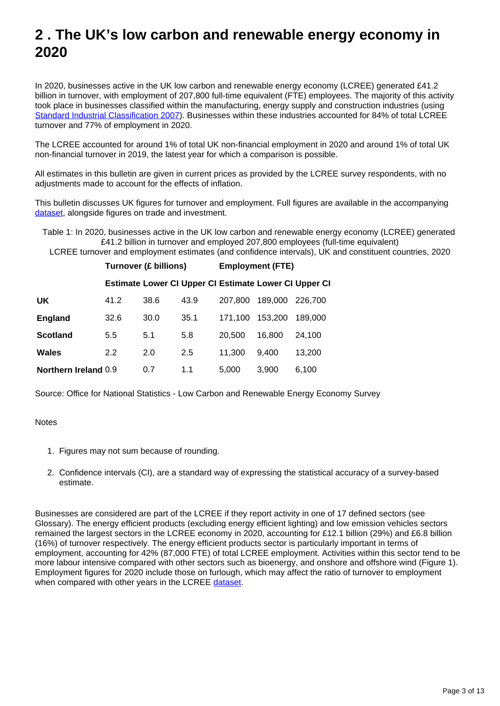## <span id="page-2-0"></span>**2 . The UK's low carbon and renewable energy economy in 2020**

In 2020, businesses active in the UK low carbon and renewable energy economy (LCREE) generated £41.2 billion in turnover, with employment of 207,800 full-time equivalent (FTE) employees. The majority of this activity took place in businesses classified within the manufacturing, energy supply and construction industries (using [Standard Industrial Classification 2007\)](https://www.ons.gov.uk/methodology/classificationsandstandards/ukstandardindustrialclassificationofeconomicactivities/uksic2007). Businesses within these industries accounted for 84% of total LCREE turnover and 77% of employment in 2020.

The LCREE accounted for around 1% of total UK non-financial employment in 2020 and around 1% of total UK non-financial turnover in 2019, the latest year for which a comparison is possible.

All estimates in this bulletin are given in current prices as provided by the LCREE survey respondents, with no adjustments made to account for the effects of inflation.

This bulletin discusses UK figures for turnover and employment. Full figures are available in the accompanying [dataset,](https://www.ons.gov.uk/economy/environmentalaccounts/datasets/lowcarbonandrenewableenergyeconomyfirstestimatesdataset) alongside figures on trade and investment.

Table 1: In 2020, businesses active in the UK low carbon and renewable energy economy (LCREE) generated £41.2 billion in turnover and employed 207,800 employees (full-time equivalent) LCREE turnover and employment estimates (and confidence intervals), UK and constituent countries, 2020

|                             | <b>Turnover (£ billions)</b> |      |      | <b>Employment (FTE)</b> |                                                       |         |
|-----------------------------|------------------------------|------|------|-------------------------|-------------------------------------------------------|---------|
|                             |                              |      |      |                         | Estimate Lower CI Upper CI Estimate Lower CI Upper CI |         |
| UK                          | 41.2                         | 38.6 | 43.9 | 207.800                 | 189,000                                               | 226,700 |
| England                     | 32.6                         | 30.0 | 35.1 | 171.100                 | 153,200                                               | 189,000 |
| Scotland                    | 5.5                          | 5.1  | 5.8  | 20,500                  | 16.800                                                | 24,100  |
| Wales                       | 2.2                          | 2.0  | 2.5  | 11.300                  | 9.400                                                 | 13,200  |
| <b>Northern Ireland 0.9</b> |                              | 0.7  | 1.1  | 5.000                   | 3.900                                                 | 6,100   |

Source: Office for National Statistics - Low Carbon and Renewable Energy Economy Survey

#### **Notes**

- 1. Figures may not sum because of rounding.
- 2. Confidence intervals (CI), are a standard way of expressing the statistical accuracy of a survey-based estimate.

Businesses are considered are part of the LCREE if they report activity in one of 17 defined sectors (see Glossary). The energy efficient products (excluding energy efficient lighting) and low emission vehicles sectors remained the largest sectors in the LCREE economy in 2020, accounting for £12.1 billion (29%) and £6.8 billion (16%) of turnover respectively. The energy efficient products sector is particularly important in terms of employment, accounting for 42% (87,000 FTE) of total LCREE employment. Activities within this sector tend to be more labour intensive compared with other sectors such as bioenergy, and onshore and offshore wind (Figure 1). Employment figures for 2020 include those on furlough, which may affect the ratio of turnover to employment when compared with other years in the LCREE [dataset](https://www.ons.gov.uk/economy/environmentalaccounts/datasets/lowcarbonandrenewableenergyeconomyfirstestimatesdataset).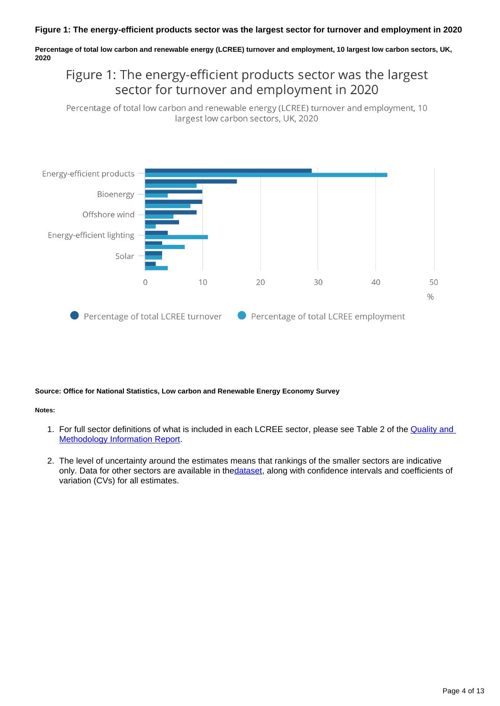#### **Figure 1: The energy-efficient products sector was the largest sector for turnover and employment in 2020**

**Percentage of total low carbon and renewable energy (LCREE) turnover and employment, 10 largest low carbon sectors, UK, 2020**

### Figure 1: The energy-efficient products sector was the largest sector for turnover and employment in 2020

Percentage of total low carbon and renewable energy (LCREE) turnover and employment, 10 largest low carbon sectors, UK, 2020



#### **Source: Office for National Statistics, Low carbon and Renewable Energy Economy Survey**

#### **Notes:**

- 1. For full sector definitions of what is included in each LCREE sector, please see Table 2 of the **Quality and** [Methodology Information Report.](https://www.ons.gov.uk/economy/environmentalaccounts/methodologies/lowcarbonandrenewableenergyeconomylcreesurveyqmi)
- 2. The level of uncertainty around the estimates means that rankings of the smaller sectors are indicative only. Data for other sectors are available in the[dataset](https://www.ons.gov.uk/economy/environmentalaccounts/datasets/lowcarbonandrenewableenergyeconomyfirstestimatesdataset), along with confidence intervals and coefficients of variation (CVs) for all estimates.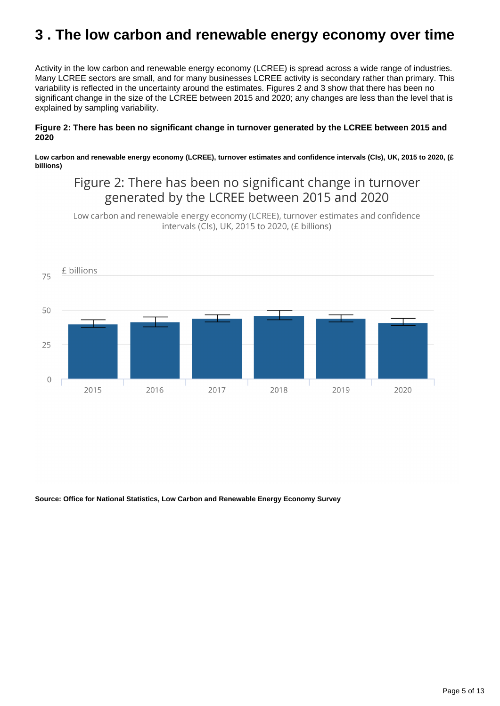## <span id="page-4-0"></span>**3 . The low carbon and renewable energy economy over time**

Activity in the low carbon and renewable energy economy (LCREE) is spread across a wide range of industries. Many LCREE sectors are small, and for many businesses LCREE activity is secondary rather than primary. This variability is reflected in the uncertainty around the estimates. Figures 2 and 3 show that there has been no significant change in the size of the LCREE between 2015 and 2020; any changes are less than the level that is explained by sampling variability.

#### **Figure 2: There has been no significant change in turnover generated by the LCREE between 2015 and 2020**

**Low carbon and renewable energy economy (LCREE), turnover estimates and confidence intervals (CIs), UK, 2015 to 2020, (£ billions)**

### Figure 2: There has been no significant change in turnover generated by the LCREE between 2015 and 2020

Low carbon and renewable energy economy (LCREE), turnover estimates and confidence intervals (Cls), UK, 2015 to 2020, (£ billions)



**Source: Office for National Statistics, Low Carbon and Renewable Energy Economy Survey**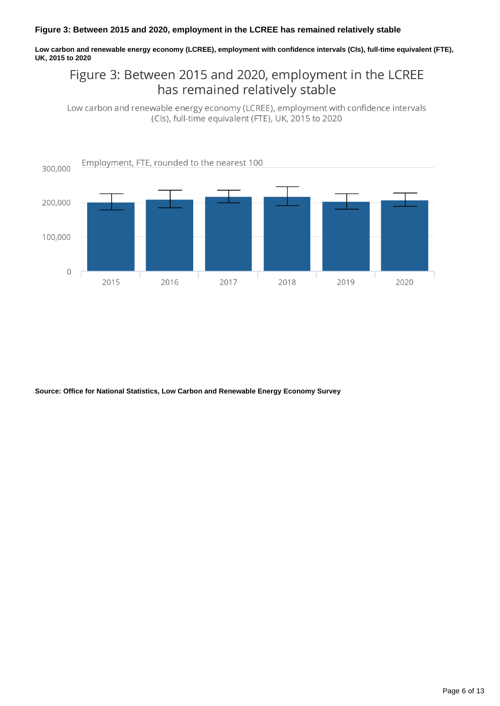#### **Figure 3: Between 2015 and 2020, employment in the LCREE has remained relatively stable**

**Low carbon and renewable energy economy (LCREE), employment with confidence intervals (CIs), full-time equivalent (FTE), UK, 2015 to 2020**

### Figure 3: Between 2015 and 2020, employment in the LCREE has remained relatively stable

Low carbon and renewable energy economy (LCREE), employment with confidence intervals (Cls), full-time equivalent (FTE), UK, 2015 to 2020



**Source: Office for National Statistics, Low Carbon and Renewable Energy Economy Survey**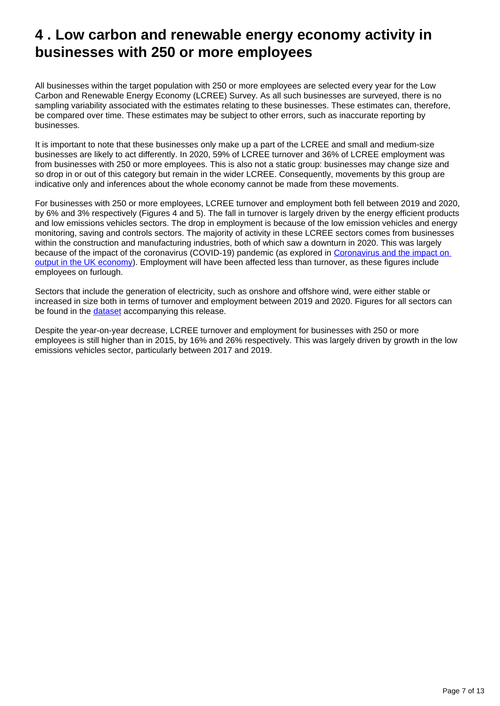## <span id="page-6-0"></span>**4 . Low carbon and renewable energy economy activity in businesses with 250 or more employees**

All businesses within the target population with 250 or more employees are selected every year for the Low Carbon and Renewable Energy Economy (LCREE) Survey. As all such businesses are surveyed, there is no sampling variability associated with the estimates relating to these businesses. These estimates can, therefore, be compared over time. These estimates may be subject to other errors, such as inaccurate reporting by businesses.

It is important to note that these businesses only make up a part of the LCREE and small and medium-size businesses are likely to act differently. In 2020, 59% of LCREE turnover and 36% of LCREE employment was from businesses with 250 or more employees. This is also not a static group: businesses may change size and so drop in or out of this category but remain in the wider LCREE. Consequently, movements by this group are indicative only and inferences about the whole economy cannot be made from these movements.

For businesses with 250 or more employees, LCREE turnover and employment both fell between 2019 and 2020, by 6% and 3% respectively (Figures 4 and 5). The fall in turnover is largely driven by the energy efficient products and low emissions vehicles sectors. The drop in employment is because of the low emission vehicles and energy monitoring, saving and controls sectors. The majority of activity in these LCREE sectors comes from businesses within the construction and manufacturing industries, both of which saw a downturn in 2020. This was largely because of the impact of the coronavirus (COVID-19) pandemic (as explored in [Coronavirus and the impact on](https://www.ons.gov.uk/economy/grossdomesticproductgdp/articles/coronavirusandtheimpactonoutputintheukeconomy/december2020#the-uk-economy-during-the-coronavirus-covid-19-pandemic-2020)  [output in the UK economy\)](https://www.ons.gov.uk/economy/grossdomesticproductgdp/articles/coronavirusandtheimpactonoutputintheukeconomy/december2020#the-uk-economy-during-the-coronavirus-covid-19-pandemic-2020). Employment will have been affected less than turnover, as these figures include employees on furlough.

Sectors that include the generation of electricity, such as onshore and offshore wind, were either stable or increased in size both in terms of turnover and employment between 2019 and 2020. Figures for all sectors can be found in the [dataset](https://www.ons.gov.uk/economy/environmentalaccounts/datasets/lowcarbonandrenewableenergyeconomyfirstestimatesdataset) accompanying this release.

Despite the year-on-year decrease, LCREE turnover and employment for businesses with 250 or more employees is still higher than in 2015, by 16% and 26% respectively. This was largely driven by growth in the low emissions vehicles sector, particularly between 2017 and 2019.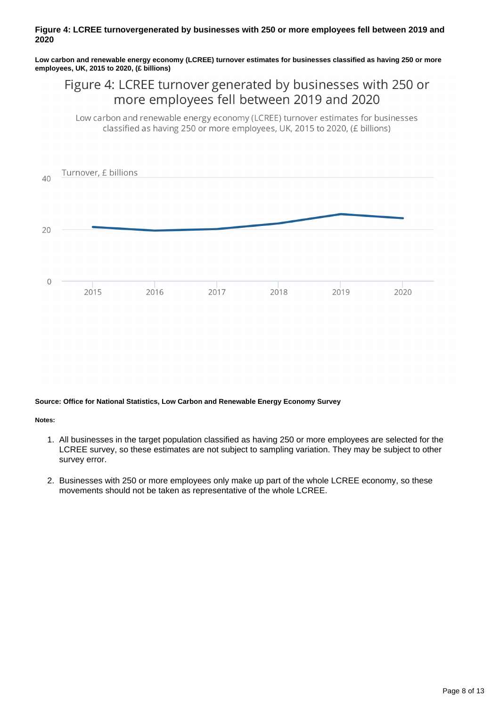#### **Figure 4: LCREE turnovergenerated by businesses with 250 or more employees fell between 2019 and 2020**

**Low carbon and renewable energy economy (LCREE) turnover estimates for businesses classified as having 250 or more employees, UK, 2015 to 2020, (£ billions)**

### Figure 4: LCREE turnover generated by businesses with 250 or more employees fell between 2019 and 2020

Low carbon and renewable energy economy (LCREE) turnover estimates for businesses classified as having 250 or more employees, UK, 2015 to 2020, (£ billions)



**Source: Office for National Statistics, Low Carbon and Renewable Energy Economy Survey**

**Notes:**

- 1. All businesses in the target population classified as having 250 or more employees are selected for the LCREE survey, so these estimates are not subject to sampling variation. They may be subject to other survey error.
- 2. Businesses with 250 or more employees only make up part of the whole LCREE economy, so these movements should not be taken as representative of the whole LCREE.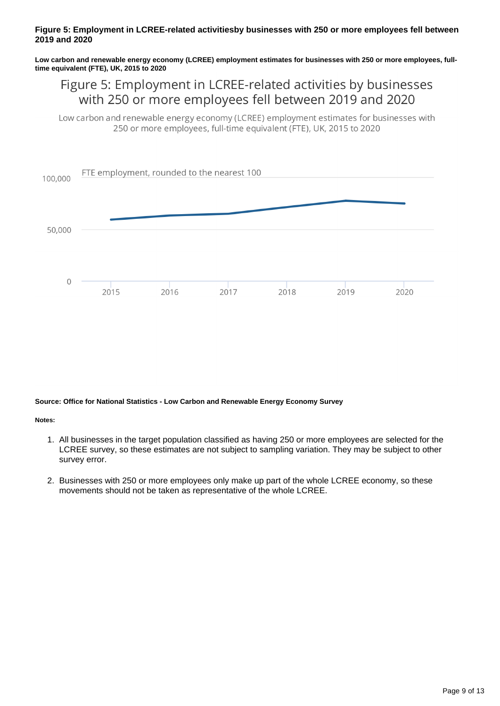#### **Figure 5: Employment in LCREE-related activitiesby businesses with 250 or more employees fell between 2019 and 2020**

**Low carbon and renewable energy economy (LCREE) employment estimates for businesses with 250 or more employees, fulltime equivalent (FTE), UK, 2015 to 2020**

### Figure 5: Employment in LCREE-related activities by businesses with 250 or more employees fell between 2019 and 2020

Low carbon and renewable energy economy (LCREE) employment estimates for businesses with 250 or more employees, full-time equivalent (FTE), UK, 2015 to 2020



#### **Source: Office for National Statistics - Low Carbon and Renewable Energy Economy Survey**

**Notes:**

- 1. All businesses in the target population classified as having 250 or more employees are selected for the LCREE survey, so these estimates are not subject to sampling variation. They may be subject to other survey error.
- 2. Businesses with 250 or more employees only make up part of the whole LCREE economy, so these movements should not be taken as representative of the whole LCREE.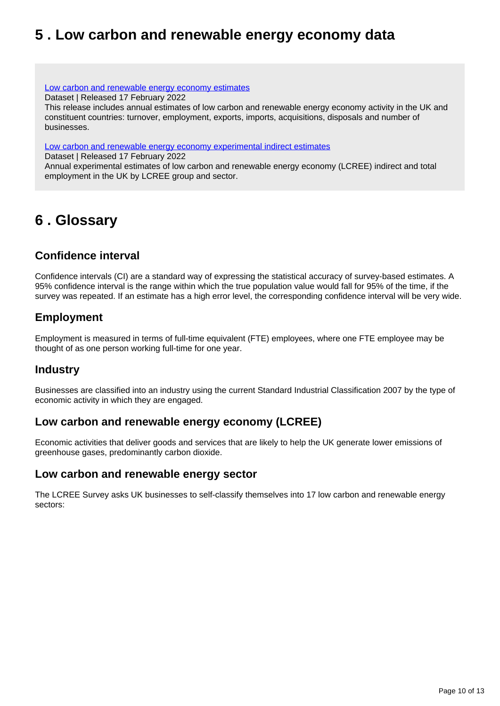## <span id="page-9-0"></span>**5 . Low carbon and renewable energy economy data**

[Low carbon and renewable energy economy estimates](https://www.ons.gov.uk/economy/environmentalaccounts/datasets/lowcarbonandrenewableenergyeconomyfirstestimatesdataset)

Dataset | Released 17 February 2022

This release includes annual estimates of low carbon and renewable energy economy activity in the UK and constituent countries: turnover, employment, exports, imports, acquisitions, disposals and number of businesses.

[Low carbon and renewable energy economy experimental indirect estimates](https://www.ons.gov.uk/economy/environmentalaccounts/datasets/lowcarbonandrenewableenergyeconomyindirectestimatesdataset)

Dataset | Released 17 February 2022

Annual experimental estimates of low carbon and renewable energy economy (LCREE) indirect and total employment in the UK by LCREE group and sector.

## <span id="page-9-1"></span>**6 . Glossary**

### **Confidence interval**

Confidence intervals (CI) are a standard way of expressing the statistical accuracy of survey-based estimates. A 95% confidence interval is the range within which the true population value would fall for 95% of the time, if the survey was repeated. If an estimate has a high error level, the corresponding confidence interval will be very wide.

### **Employment**

Employment is measured in terms of full-time equivalent (FTE) employees, where one FTE employee may be thought of as one person working full-time for one year.

### **Industry**

Businesses are classified into an industry using the current Standard Industrial Classification 2007 by the type of economic activity in which they are engaged.

### **Low carbon and renewable energy economy (LCREE)**

Economic activities that deliver goods and services that are likely to help the UK generate lower emissions of greenhouse gases, predominantly carbon dioxide.

#### **Low carbon and renewable energy sector**

The LCREE Survey asks UK businesses to self-classify themselves into 17 low carbon and renewable energy sectors: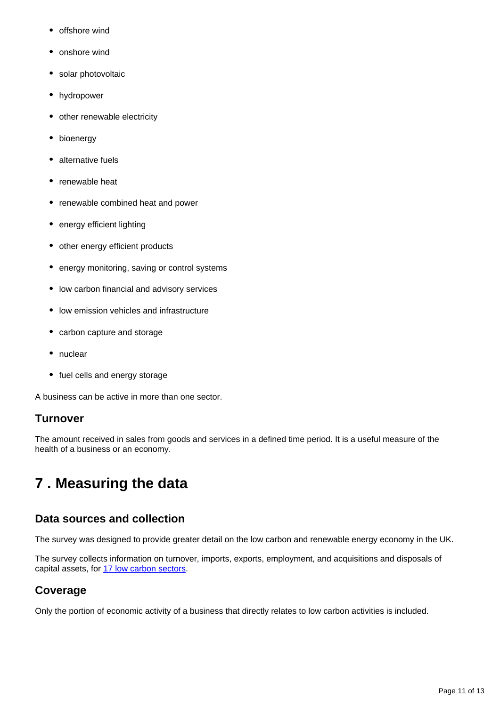- offshore wind
- onshore wind
- solar photovoltaic
- hydropower
- other renewable electricity
- bioenergy
- alternative fuels
- renewable heat
- renewable combined heat and power
- energy efficient lighting
- other energy efficient products
- energy monitoring, saving or control systems
- low carbon financial and advisory services
- low emission vehicles and infrastructure
- carbon capture and storage
- nuclear
- fuel cells and energy storage

A business can be active in more than one sector.

### **Turnover**

The amount received in sales from goods and services in a defined time period. It is a useful measure of the health of a business or an economy.

## <span id="page-10-0"></span>**7 . Measuring the data**

### **Data sources and collection**

The survey was designed to provide greater detail on the low carbon and renewable energy economy in the UK.

The survey collects information on turnover, imports, exports, employment, and acquisitions and disposals of capital assets, for [17 low carbon sectors](https://www.ons.gov.uk/economy/environmentalaccounts/methodologies/lowcarbonandrenewableenergyeconomylcreesurveyqmi).

### **Coverage**

Only the portion of economic activity of a business that directly relates to low carbon activities is included.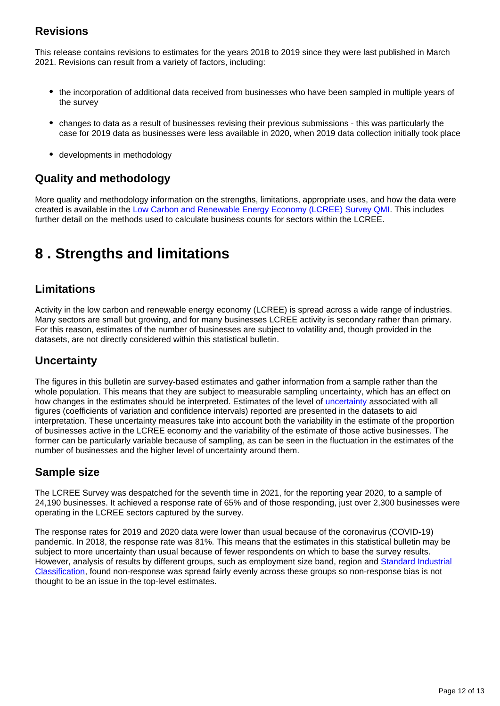### **Revisions**

This release contains revisions to estimates for the years 2018 to 2019 since they were last published in March 2021. Revisions can result from a variety of factors, including:

- the incorporation of additional data received from businesses who have been sampled in multiple years of the survey
- changes to data as a result of businesses revising their previous submissions this was particularly the case for 2019 data as businesses were less available in 2020, when 2019 data collection initially took place
- developments in methodology

### **Quality and methodology**

More quality and methodology information on the strengths, limitations, appropriate uses, and how the data were created is available in the [Low Carbon and Renewable Energy Economy \(LCREE\) Survey QMI](https://www.ons.gov.uk/economy/environmentalaccounts/methodologies/lowcarbonandrenewableenergyeconomylcreesurveyqmi). This includes further detail on the methods used to calculate business counts for sectors within the LCREE.

## <span id="page-11-0"></span>**8 . Strengths and limitations**

### **Limitations**

Activity in the low carbon and renewable energy economy (LCREE) is spread across a wide range of industries. Many sectors are small but growing, and for many businesses LCREE activity is secondary rather than primary. For this reason, estimates of the number of businesses are subject to volatility and, though provided in the datasets, are not directly considered within this statistical bulletin.

### **Uncertainty**

The figures in this bulletin are survey-based estimates and gather information from a sample rather than the whole population. This means that they are subject to measurable sampling uncertainty, which has an effect on how changes in the estimates should be interpreted. Estimates of the level of [uncertainty](https://www.ons.gov.uk/methodology/methodologytopicsandstatisticalconcepts/uncertaintyandhowwemeasureit) associated with all figures (coefficients of variation and confidence intervals) reported are presented in the datasets to aid interpretation. These uncertainty measures take into account both the variability in the estimate of the proportion of businesses active in the LCREE economy and the variability of the estimate of those active businesses. The former can be particularly variable because of sampling, as can be seen in the fluctuation in the estimates of the number of businesses and the higher level of uncertainty around them.

### **Sample size**

The LCREE Survey was despatched for the seventh time in 2021, for the reporting year 2020, to a sample of 24,190 businesses. It achieved a response rate of 65% and of those responding, just over 2,300 businesses were operating in the LCREE sectors captured by the survey.

The response rates for 2019 and 2020 data were lower than usual because of the coronavirus (COVID-19) pandemic. In 2018, the response rate was 81%. This means that the estimates in this statistical bulletin may be subject to more uncertainty than usual because of fewer respondents on which to base the survey results. However, analysis of results by different groups, such as employment size band, region and Standard Industrial [Classification](https://www.ons.gov.uk/methodology/classificationsandstandards/ukstandardindustrialclassificationofeconomicactivities/uksic2007), found non-response was spread fairly evenly across these groups so non-response bias is not thought to be an issue in the top-level estimates.